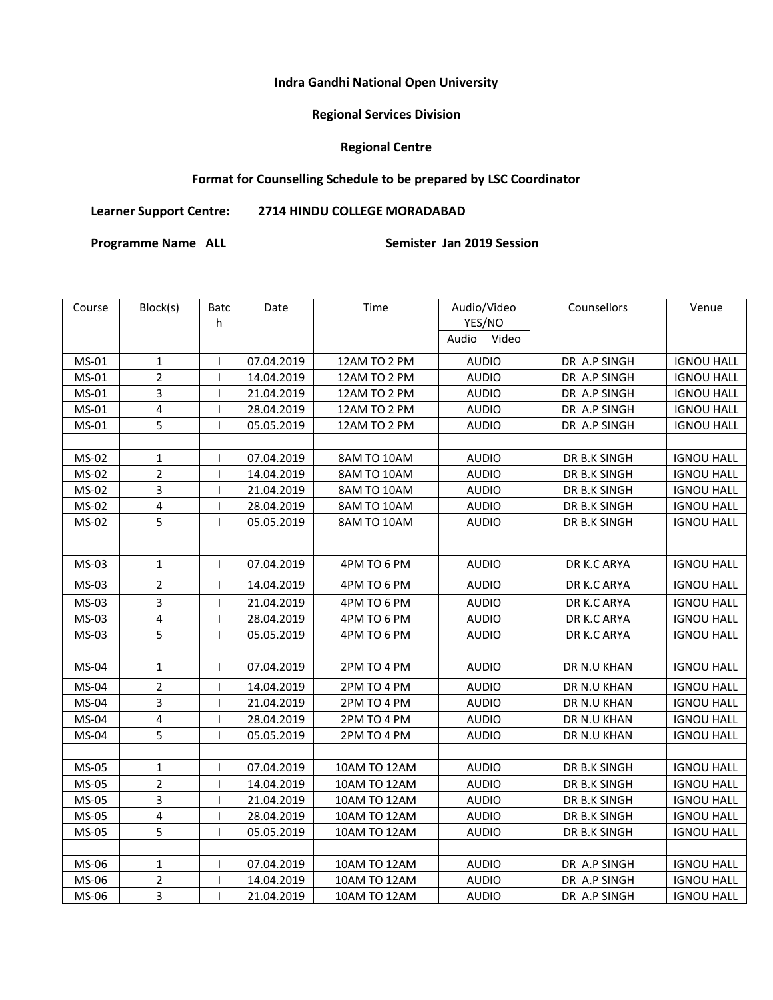#### **Indra Gandhi National Open University**

# **Regional Services Division**

### **Regional Centre**

# **Format for Counselling Schedule to be prepared by LSC Coordinator**

**Learner Support Centre: 2714 HINDU COLLEGE MORADABAD** 

Programme Name ALL **Semister Jan 2019 Session** 

| Course | Block(s)                | Batc         | Date       | Time         | Audio/Video  | Counsellors  | Venue             |
|--------|-------------------------|--------------|------------|--------------|--------------|--------------|-------------------|
|        |                         | h            |            |              | YES/NO       |              |                   |
|        |                         |              |            |              | Audio Video  |              |                   |
| MS-01  | $\mathbf 1$             | $\mathbf{I}$ | 07.04.2019 | 12AM TO 2 PM | <b>AUDIO</b> | DR A.P SINGH | <b>IGNOU HALL</b> |
| MS-01  | $\overline{2}$          | $\mathbf{I}$ | 14.04.2019 | 12AM TO 2 PM | <b>AUDIO</b> | DR A.P SINGH | <b>IGNOU HALL</b> |
| MS-01  | $\overline{3}$          | $\mathbf{I}$ | 21.04.2019 | 12AM TO 2 PM | <b>AUDIO</b> | DR A.P SINGH | <b>IGNOU HALL</b> |
| MS-01  | 4                       | $\mathbf{I}$ | 28.04.2019 | 12AM TO 2 PM | <b>AUDIO</b> | DR A.P SINGH | <b>IGNOU HALL</b> |
| MS-01  | 5                       | $\mathbf{I}$ | 05.05.2019 | 12AM TO 2 PM | <b>AUDIO</b> | DR A.P SINGH | <b>IGNOU HALL</b> |
|        |                         |              |            |              |              |              |                   |
| MS-02  | $\mathbf 1$             | $\mathsf{l}$ | 07.04.2019 | 8AM TO 10AM  | <b>AUDIO</b> | DR B.K SINGH | <b>IGNOU HALL</b> |
| MS-02  | $\overline{2}$          | $\mathbf{I}$ | 14.04.2019 | 8AM TO 10AM  | <b>AUDIO</b> | DR B.K SINGH | <b>IGNOU HALL</b> |
| MS-02  | 3                       | $\mathbf{I}$ | 21.04.2019 | 8AM TO 10AM  | <b>AUDIO</b> | DR B.K SINGH | <b>IGNOU HALL</b> |
| MS-02  | 4                       | $\mathbf{I}$ | 28.04.2019 | 8AM TO 10AM  | <b>AUDIO</b> | DR B.K SINGH | <b>IGNOU HALL</b> |
| MS-02  | 5                       | $\mathbf{I}$ | 05.05.2019 | 8AM TO 10AM  | <b>AUDIO</b> | DR B.K SINGH | <b>IGNOU HALL</b> |
|        |                         |              |            |              |              |              |                   |
| MS-03  | $\mathbf{1}$            | $\mathbf{I}$ | 07.04.2019 | 4PM TO 6 PM  | <b>AUDIO</b> | DR K.C ARYA  | <b>IGNOU HALL</b> |
| MS-03  | $\overline{2}$          | $\mathbf{I}$ | 14.04.2019 | 4PM TO 6 PM  | <b>AUDIO</b> | DR K.C ARYA  | <b>IGNOU HALL</b> |
| MS-03  | 3                       | $\mathbf{I}$ | 21.04.2019 | 4PM TO 6 PM  | <b>AUDIO</b> | DR K.C ARYA  | <b>IGNOU HALL</b> |
| MS-03  | $\pmb{4}$               | $\mathsf{I}$ | 28.04.2019 | 4PM TO 6 PM  | <b>AUDIO</b> | DR K.C ARYA  | <b>IGNOU HALL</b> |
| MS-03  | 5                       | ı            | 05.05.2019 | 4PM TO 6 PM  | <b>AUDIO</b> | DR K.C ARYA  | <b>IGNOU HALL</b> |
|        |                         |              |            |              |              |              |                   |
| MS-04  | $\mathbf 1$             | ı            | 07.04.2019 | 2PM TO 4 PM  | <b>AUDIO</b> | DR N.U KHAN  | <b>IGNOU HALL</b> |
| MS-04  | $\overline{2}$          | $\mathbf{I}$ | 14.04.2019 | 2PM TO 4 PM  | <b>AUDIO</b> | DR N.U KHAN  | <b>IGNOU HALL</b> |
| MS-04  | $\overline{3}$          | $\mathsf{I}$ | 21.04.2019 | 2PM TO 4 PM  | <b>AUDIO</b> | DR N.U KHAN  | <b>IGNOU HALL</b> |
| MS-04  | 4                       | $\mathbf{I}$ | 28.04.2019 | 2PM TO 4 PM  | <b>AUDIO</b> | DR N.U KHAN  | <b>IGNOU HALL</b> |
| MS-04  | 5                       | $\mathbf{I}$ | 05.05.2019 | 2PM TO 4 PM  | <b>AUDIO</b> | DR N.U KHAN  | <b>IGNOU HALL</b> |
|        |                         |              |            |              |              |              |                   |
| MS-05  | 1                       | $\mathbf{I}$ | 07.04.2019 | 10AM TO 12AM | <b>AUDIO</b> | DR B.K SINGH | <b>IGNOU HALL</b> |
| MS-05  | $\overline{2}$          | ı            | 14.04.2019 | 10AM TO 12AM | <b>AUDIO</b> | DR B.K SINGH | <b>IGNOU HALL</b> |
| MS-05  | 3                       | ı            | 21.04.2019 | 10AM TO 12AM | <b>AUDIO</b> | DR B.K SINGH | <b>IGNOU HALL</b> |
| MS-05  | $\pmb{4}$               | $\mathsf{I}$ | 28.04.2019 | 10AM TO 12AM | <b>AUDIO</b> | DR B.K SINGH | <b>IGNOU HALL</b> |
| MS-05  | 5                       | ı            | 05.05.2019 | 10AM TO 12AM | <b>AUDIO</b> | DR B.K SINGH | <b>IGNOU HALL</b> |
|        |                         |              |            |              |              |              |                   |
| MS-06  | 1                       | ı            | 07.04.2019 | 10AM TO 12AM | <b>AUDIO</b> | DR A.P SINGH | <b>IGNOU HALL</b> |
| MS-06  | 2                       | $\mathsf{l}$ | 14.04.2019 | 10AM TO 12AM | <b>AUDIO</b> | DR A.P SINGH | <b>IGNOU HALL</b> |
| MS-06  | $\overline{\mathbf{3}}$ | $\mathsf{I}$ | 21.04.2019 | 10AM TO 12AM | <b>AUDIO</b> | DR A.P SINGH | <b>IGNOU HALL</b> |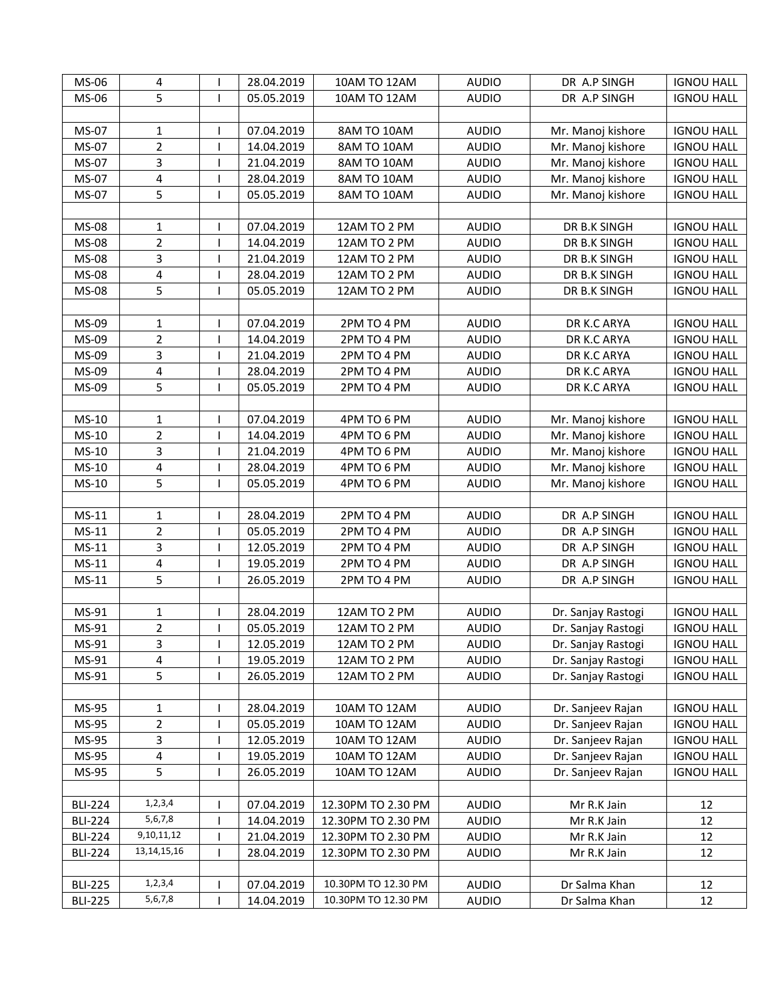| MS-06          | 4                       |              | 28.04.2019 | 10AM TO 12AM        | <b>AUDIO</b> | DR A.P SINGH       | <b>IGNOU HALL</b> |
|----------------|-------------------------|--------------|------------|---------------------|--------------|--------------------|-------------------|
| MS-06          | 5                       |              | 05.05.2019 | 10AM TO 12AM        | <b>AUDIO</b> | DR A.P SINGH       | <b>IGNOU HALL</b> |
|                |                         |              |            |                     |              |                    |                   |
| MS-07          | 1                       |              | 07.04.2019 | 8AM TO 10AM         | <b>AUDIO</b> | Mr. Manoj kishore  | <b>IGNOU HALL</b> |
| MS-07          | $\overline{2}$          |              | 14.04.2019 | 8AM TO 10AM         | <b>AUDIO</b> | Mr. Manoj kishore  | <b>IGNOU HALL</b> |
| MS-07          | 3                       |              | 21.04.2019 | 8AM TO 10AM         | <b>AUDIO</b> | Mr. Manoj kishore  | <b>IGNOU HALL</b> |
| MS-07          | 4                       |              | 28.04.2019 | 8AM TO 10AM         | <b>AUDIO</b> | Mr. Manoj kishore  | <b>IGNOU HALL</b> |
| MS-07          | 5                       |              | 05.05.2019 | 8AM TO 10AM         | <b>AUDIO</b> | Mr. Manoj kishore  | <b>IGNOU HALL</b> |
|                |                         |              |            |                     |              |                    |                   |
| MS-08          | 1                       |              | 07.04.2019 | 12AM TO 2 PM        | <b>AUDIO</b> | DR B.K SINGH       | <b>IGNOU HALL</b> |
| MS-08          | $\overline{2}$          | $\mathsf{I}$ | 14.04.2019 | 12AM TO 2 PM        | <b>AUDIO</b> | DR B.K SINGH       | <b>IGNOU HALL</b> |
| MS-08          | 3                       | $\mathbf{I}$ | 21.04.2019 | 12AM TO 2 PM        | <b>AUDIO</b> | DR B.K SINGH       | <b>IGNOU HALL</b> |
| MS-08          | $\overline{\mathbf{4}}$ |              | 28.04.2019 | 12AM TO 2 PM        | <b>AUDIO</b> | DR B.K SINGH       | <b>IGNOU HALL</b> |
| MS-08          | 5                       | -1           | 05.05.2019 | 12AM TO 2 PM        | <b>AUDIO</b> | DR B.K SINGH       | <b>IGNOU HALL</b> |
|                |                         |              |            |                     |              |                    |                   |
| MS-09          | 1                       |              | 07.04.2019 | 2PM TO 4 PM         | <b>AUDIO</b> | DR K.C ARYA        | <b>IGNOU HALL</b> |
| MS-09          | $\overline{2}$          |              | 14.04.2019 | 2PM TO 4 PM         | <b>AUDIO</b> | DR K.C ARYA        | <b>IGNOU HALL</b> |
| MS-09          | 3                       |              | 21.04.2019 | 2PM TO 4 PM         | <b>AUDIO</b> | DR K.C ARYA        | <b>IGNOU HALL</b> |
| MS-09          | $\pmb{4}$               |              | 28.04.2019 | 2PM TO 4 PM         | <b>AUDIO</b> | DR K.C ARYA        | <b>IGNOU HALL</b> |
| MS-09          | 5                       |              | 05.05.2019 | 2PM TO 4 PM         | <b>AUDIO</b> | DR K.C ARYA        | <b>IGNOU HALL</b> |
|                |                         |              |            |                     |              |                    |                   |
| MS-10          | 1                       |              | 07.04.2019 | 4PM TO 6 PM         | <b>AUDIO</b> | Mr. Manoj kishore  | <b>IGNOU HALL</b> |
| MS-10          | $\overline{\mathbf{c}}$ |              | 14.04.2019 | 4PM TO 6 PM         | <b>AUDIO</b> | Mr. Manoj kishore  | <b>IGNOU HALL</b> |
| MS-10          | 3                       |              | 21.04.2019 | 4PM TO 6 PM         | <b>AUDIO</b> | Mr. Manoj kishore  | <b>IGNOU HALL</b> |
| MS-10          | 4                       |              | 28.04.2019 | 4PM TO 6 PM         | <b>AUDIO</b> | Mr. Manoj kishore  | <b>IGNOU HALL</b> |
| MS-10          | 5                       |              | 05.05.2019 | 4PM TO 6 PM         | <b>AUDIO</b> | Mr. Manoj kishore  | <b>IGNOU HALL</b> |
|                |                         |              |            |                     |              |                    |                   |
| $MS-11$        | 1                       | ı            | 28.04.2019 | 2PM TO 4 PM         | <b>AUDIO</b> | DR A.P SINGH       | <b>IGNOU HALL</b> |
| $MS-11$        | $\overline{2}$          | $\mathbf{I}$ | 05.05.2019 | 2PM TO 4 PM         | <b>AUDIO</b> | DR A.P SINGH       | <b>IGNOU HALL</b> |
| $MS-11$        | 3                       | 1            | 12.05.2019 | 2PM TO 4 PM         | <b>AUDIO</b> | DR A.P SINGH       | <b>IGNOU HALL</b> |
| $MS-11$        | $\pmb{4}$               | 1            | 19.05.2019 | 2PM TO 4 PM         | <b>AUDIO</b> | DR A.P SINGH       | <b>IGNOU HALL</b> |
| $MS-11$        | 5                       | $\mathbf{I}$ | 26.05.2019 | 2PM TO 4 PM         | <b>AUDIO</b> | DR A.P SINGH       | <b>IGNOU HALL</b> |
|                |                         |              |            |                     |              |                    |                   |
| MS-91          | 1                       |              | 28.04.2019 | 12AM TO 2 PM        | <b>AUDIO</b> | Dr. Sanjay Rastogi | <b>IGNOU HALL</b> |
| MS-91          | $\overline{2}$          |              | 05.05.2019 | 12AM TO 2 PM        | <b>AUDIO</b> | Dr. Sanjay Rastogi | <b>IGNOU HALL</b> |
| MS-91          | 3                       |              | 12.05.2019 | 12AM TO 2 PM        | <b>AUDIO</b> | Dr. Sanjay Rastogi | <b>IGNOU HALL</b> |
| MS-91          | 4                       |              | 19.05.2019 | 12AM TO 2 PM        | <b>AUDIO</b> | Dr. Sanjay Rastogi | <b>IGNOU HALL</b> |
| MS-91          | 5                       |              | 26.05.2019 | 12AM TO 2 PM        | <b>AUDIO</b> | Dr. Sanjay Rastogi | <b>IGNOU HALL</b> |
|                |                         |              |            |                     |              |                    |                   |
| MS-95          | 1                       |              | 28.04.2019 | 10AM TO 12AM        | <b>AUDIO</b> | Dr. Sanjeev Rajan  | <b>IGNOU HALL</b> |
| MS-95          | 2                       |              | 05.05.2019 | 10AM TO 12AM        | <b>AUDIO</b> | Dr. Sanjeev Rajan  | <b>IGNOU HALL</b> |
| MS-95          | 3                       |              | 12.05.2019 | 10AM TO 12AM        | <b>AUDIO</b> | Dr. Sanjeev Rajan  | <b>IGNOU HALL</b> |
| MS-95          | 4                       |              | 19.05.2019 | 10AM TO 12AM        | <b>AUDIO</b> | Dr. Sanjeev Rajan  | <b>IGNOU HALL</b> |
| MS-95          | 5                       | $\mathbf{I}$ | 26.05.2019 | 10AM TO 12AM        | <b>AUDIO</b> | Dr. Sanjeev Rajan  | <b>IGNOU HALL</b> |
|                |                         |              |            |                     |              |                    |                   |
| <b>BLI-224</b> | 1,2,3,4                 |              | 07.04.2019 | 12.30PM TO 2.30 PM  | <b>AUDIO</b> | Mr R.K Jain        | 12                |
| <b>BLI-224</b> | 5,6,7,8                 |              | 14.04.2019 | 12.30PM TO 2.30 PM  | <b>AUDIO</b> | Mr R.K Jain        | 12                |
| <b>BLI-224</b> | 9,10,11,12              |              | 21.04.2019 | 12.30PM TO 2.30 PM  | <b>AUDIO</b> | Mr R.K Jain        | 12                |
| <b>BLI-224</b> | 13, 14, 15, 16          |              | 28.04.2019 | 12.30PM TO 2.30 PM  | <b>AUDIO</b> | Mr R.K Jain        | 12                |
|                |                         |              |            |                     |              |                    |                   |
| <b>BLI-225</b> | 1, 2, 3, 4              |              | 07.04.2019 | 10.30PM TO 12.30 PM | <b>AUDIO</b> | Dr Salma Khan      | 12                |
| <b>BLI-225</b> | 5,6,7,8                 |              | 14.04.2019 | 10.30PM TO 12.30 PM | <b>AUDIO</b> | Dr Salma Khan      | 12                |
|                |                         |              |            |                     |              |                    |                   |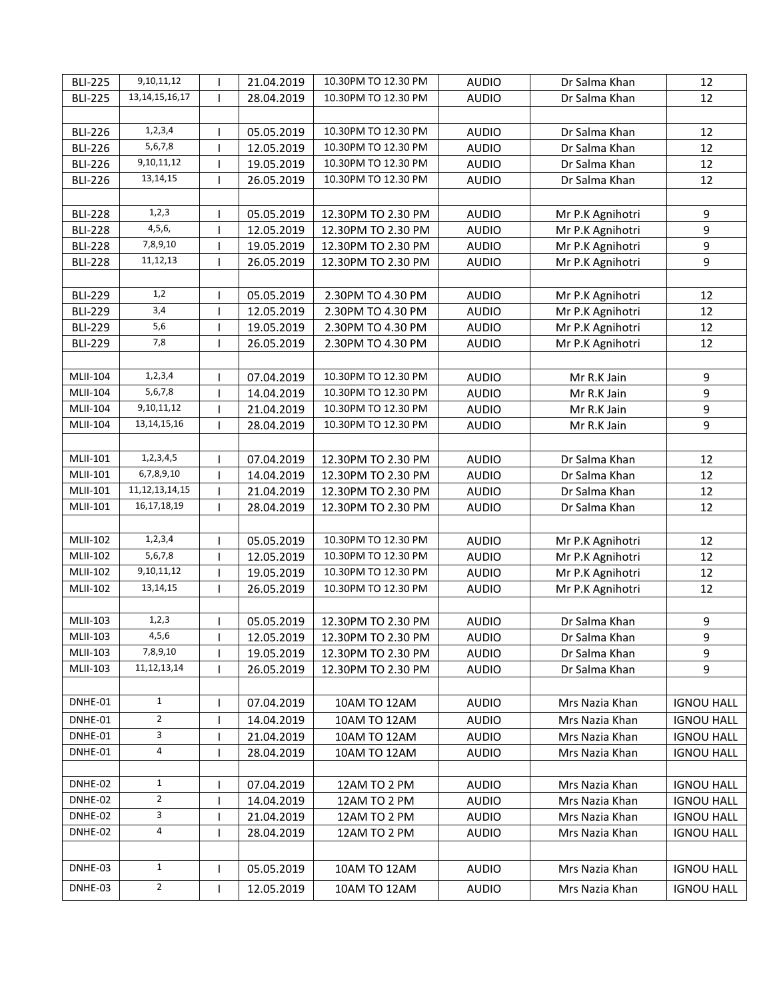| <b>BLI-225</b>  | 9,10,11,12         |              | 21.04.2019 | 10.30PM TO 12.30 PM | <b>AUDIO</b> | Dr Salma Khan    | 12                |
|-----------------|--------------------|--------------|------------|---------------------|--------------|------------------|-------------------|
| <b>BLI-225</b>  | 13, 14, 15, 16, 17 |              | 28.04.2019 | 10.30PM TO 12.30 PM | <b>AUDIO</b> | Dr Salma Khan    | 12                |
|                 |                    |              |            |                     |              |                  |                   |
| <b>BLI-226</b>  | 1, 2, 3, 4         |              | 05.05.2019 | 10.30PM TO 12.30 PM | <b>AUDIO</b> | Dr Salma Khan    | 12                |
| <b>BLI-226</b>  | 5,6,7,8            |              | 12.05.2019 | 10.30PM TO 12.30 PM | <b>AUDIO</b> | Dr Salma Khan    | 12                |
| <b>BLI-226</b>  | 9,10,11,12         |              | 19.05.2019 | 10.30PM TO 12.30 PM | <b>AUDIO</b> | Dr Salma Khan    | 12                |
| <b>BLI-226</b>  | 13, 14, 15         |              | 26.05.2019 | 10.30PM TO 12.30 PM | <b>AUDIO</b> | Dr Salma Khan    | 12                |
|                 |                    |              |            |                     |              |                  |                   |
| <b>BLI-228</b>  | 1, 2, 3            | 1            | 05.05.2019 | 12.30PM TO 2.30 PM  | <b>AUDIO</b> | Mr P.K Agnihotri | 9                 |
| <b>BLI-228</b>  | 4,5,6,             |              | 12.05.2019 | 12.30PM TO 2.30 PM  | <b>AUDIO</b> | Mr P.K Agnihotri | 9                 |
| <b>BLI-228</b>  | 7,8,9,10           |              | 19.05.2019 | 12.30PM TO 2.30 PM  | <b>AUDIO</b> | Mr P.K Agnihotri | 9                 |
| <b>BLI-228</b>  | 11,12,13           | -1           | 26.05.2019 | 12.30PM TO 2.30 PM  | <b>AUDIO</b> | Mr P.K Agnihotri | 9                 |
|                 |                    |              |            |                     |              |                  |                   |
|                 | 1,2                |              |            |                     |              |                  |                   |
| <b>BLI-229</b>  | 3,4                |              | 05.05.2019 | 2.30PM TO 4.30 PM   | <b>AUDIO</b> | Mr P.K Agnihotri | 12                |
| <b>BLI-229</b>  | 5,6                | $\mathbf{I}$ | 12.05.2019 | 2.30PM TO 4.30 PM   | <b>AUDIO</b> | Mr P.K Agnihotri | 12                |
| <b>BLI-229</b>  | 7,8                |              | 19.05.2019 | 2.30PM TO 4.30 PM   | <b>AUDIO</b> | Mr P.K Agnihotri | 12                |
| <b>BLI-229</b>  |                    |              | 26.05.2019 | 2.30PM TO 4.30 PM   | <b>AUDIO</b> | Mr P.K Agnihotri | 12                |
|                 |                    |              |            |                     |              |                  |                   |
| MLII-104        | 1, 2, 3, 4         |              | 07.04.2019 | 10.30PM TO 12.30 PM | <b>AUDIO</b> | Mr R.K Jain      | 9                 |
| MLII-104        | 5,6,7,8            |              | 14.04.2019 | 10.30PM TO 12.30 PM | <b>AUDIO</b> | Mr R.K Jain      | 9                 |
| MLII-104        | 9,10,11,12         |              | 21.04.2019 | 10.30PM TO 12.30 PM | <b>AUDIO</b> | Mr R.K Jain      | $\boldsymbol{9}$  |
| MLII-104        | 13, 14, 15, 16     |              | 28.04.2019 | 10.30PM TO 12.30 PM | <b>AUDIO</b> | Mr R.K Jain      | 9                 |
|                 |                    |              |            |                     |              |                  |                   |
| MLII-101        | 1,2,3,4,5          |              | 07.04.2019 | 12.30PM TO 2.30 PM  | <b>AUDIO</b> | Dr Salma Khan    | 12                |
| MLII-101        | 6,7,8,9,10         |              | 14.04.2019 | 12.30PM TO 2.30 PM  | <b>AUDIO</b> | Dr Salma Khan    | 12                |
| MLII-101        | 11, 12, 13, 14, 15 |              | 21.04.2019 | 12.30PM TO 2.30 PM  | <b>AUDIO</b> | Dr Salma Khan    | 12                |
| MLII-101        | 16, 17, 18, 19     |              | 28.04.2019 | 12.30PM TO 2.30 PM  | <b>AUDIO</b> | Dr Salma Khan    | 12                |
|                 |                    |              |            |                     |              |                  |                   |
| <b>MLII-102</b> | 1, 2, 3, 4         | $\mathbf{I}$ | 05.05.2019 | 10.30PM TO 12.30 PM | <b>AUDIO</b> | Mr P.K Agnihotri | 12                |
| <b>MLII-102</b> | 5,6,7,8            |              | 12.05.2019 | 10.30PM TO 12.30 PM | <b>AUDIO</b> | Mr P.K Agnihotri | 12                |
| <b>MLII-102</b> | 9,10,11,12         | $\mathbf{I}$ | 19.05.2019 | 10.30PM TO 12.30 PM | <b>AUDIO</b> | Mr P.K Agnihotri | 12                |
| MLII-102        | 13, 14, 15         |              | 26.05.2019 | 10.30PM TO 12.30 PM | <b>AUDIO</b> | Mr P.K Agnihotri | 12                |
|                 |                    |              |            |                     |              |                  |                   |
| MLII-103        | 1, 2, 3            |              | 05.05.2019 | 12.30PM TO 2.30 PM  | <b>AUDIO</b> | Dr Salma Khan    | 9                 |
| MLII-103        | 4, 5, 6            |              | 12.05.2019 | 12.30PM TO 2.30 PM  | <b>AUDIO</b> | Dr Salma Khan    | 9                 |
| <b>MLII-103</b> | 7,8,9,10           |              | 19.05.2019 | 12.30PM TO 2.30 PM  | <b>AUDIO</b> | Dr Salma Khan    | 9                 |
| MLII-103        | 11, 12, 13, 14     |              | 26.05.2019 | 12.30PM TO 2.30 PM  | <b>AUDIO</b> | Dr Salma Khan    | 9                 |
|                 |                    |              |            |                     |              |                  |                   |
| DNHE-01         | $\mathbf{1}$       |              | 07.04.2019 | 10AM TO 12AM        | <b>AUDIO</b> | Mrs Nazia Khan   | <b>IGNOU HALL</b> |
| DNHE-01         | $\overline{2}$     |              | 14.04.2019 | 10AM TO 12AM        | <b>AUDIO</b> | Mrs Nazia Khan   | <b>IGNOU HALL</b> |
| DNHE-01         | 3                  |              | 21.04.2019 | 10AM TO 12AM        | <b>AUDIO</b> | Mrs Nazia Khan   | <b>IGNOU HALL</b> |
| DNHE-01         | 4                  |              | 28.04.2019 | 10AM TO 12AM        | <b>AUDIO</b> | Mrs Nazia Khan   | <b>IGNOU HALL</b> |
|                 |                    |              |            |                     |              |                  |                   |
| DNHE-02         | $\mathbf{1}$       |              | 07.04.2019 | 12AM TO 2 PM        | <b>AUDIO</b> | Mrs Nazia Khan   | <b>IGNOU HALL</b> |
| DNHE-02         | $\overline{2}$     |              | 14.04.2019 | 12AM TO 2 PM        | <b>AUDIO</b> | Mrs Nazia Khan   | <b>IGNOU HALL</b> |
| DNHE-02         | 3                  |              | 21.04.2019 | 12AM TO 2 PM        | <b>AUDIO</b> | Mrs Nazia Khan   | <b>IGNOU HALL</b> |
| DNHE-02         | $\overline{4}$     |              | 28.04.2019 | 12AM TO 2 PM        | <b>AUDIO</b> | Mrs Nazia Khan   | <b>IGNOU HALL</b> |
|                 |                    |              |            |                     |              |                  |                   |
| DNHE-03         | $\mathbf{1}$       | $\mathsf{I}$ | 05.05.2019 | 10AM TO 12AM        | <b>AUDIO</b> | Mrs Nazia Khan   | <b>IGNOU HALL</b> |
|                 |                    |              |            |                     |              |                  |                   |
| DNHE-03         | $\overline{2}$     | $\mathbf{I}$ | 12.05.2019 | 10AM TO 12AM        | <b>AUDIO</b> | Mrs Nazia Khan   | <b>IGNOU HALL</b> |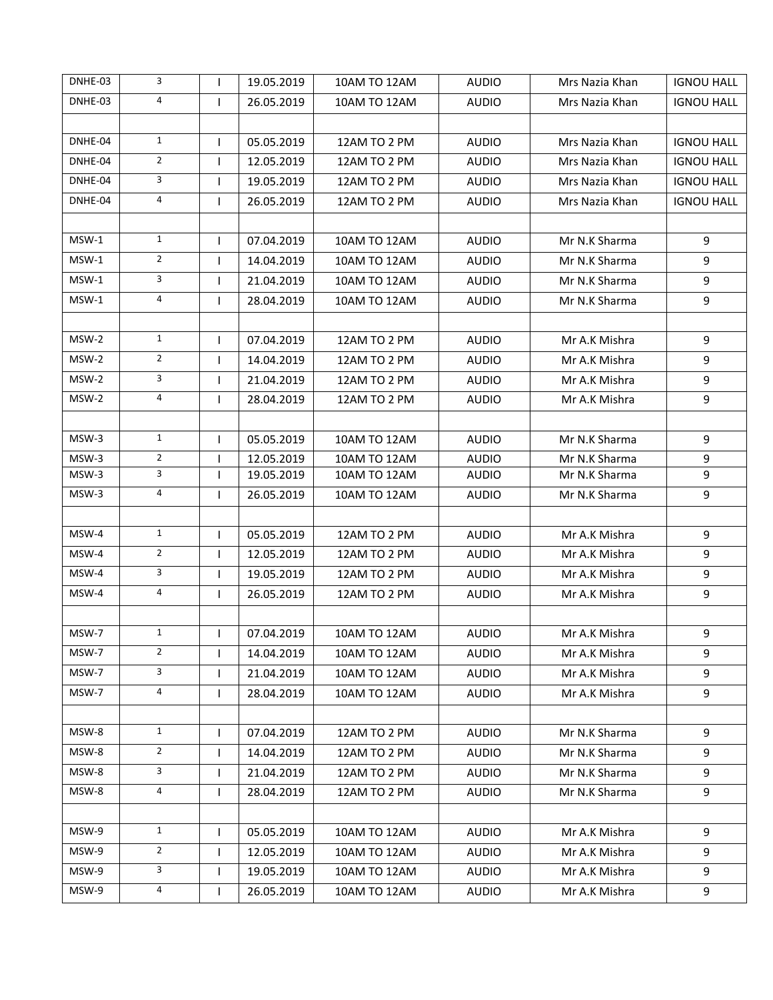| DNHE-03 | 3              | $\mathbf{I}$ | 19.05.2019 | 10AM TO 12AM        | <b>AUDIO</b> | Mrs Nazia Khan | <b>IGNOU HALL</b> |
|---------|----------------|--------------|------------|---------------------|--------------|----------------|-------------------|
| DNHE-03 | $\overline{4}$ | $\mathsf{I}$ | 26.05.2019 | 10AM TO 12AM        | <b>AUDIO</b> | Mrs Nazia Khan | <b>IGNOU HALL</b> |
|         |                |              |            |                     |              |                |                   |
| DNHE-04 | $\mathbf{1}$   | $\mathsf{I}$ | 05.05.2019 | 12AM TO 2 PM        | <b>AUDIO</b> | Mrs Nazia Khan | <b>IGNOU HALL</b> |
| DNHE-04 | $2^{\circ}$    | $\mathbf{I}$ | 12.05.2019 | 12AM TO 2 PM        | <b>AUDIO</b> | Mrs Nazia Khan | <b>IGNOU HALL</b> |
| DNHE-04 | 3              | $\mathsf{I}$ | 19.05.2019 | 12AM TO 2 PM        | <b>AUDIO</b> | Mrs Nazia Khan | <b>IGNOU HALL</b> |
| DNHE-04 | $\overline{4}$ | $\mathbf{I}$ | 26.05.2019 | 12AM TO 2 PM        | <b>AUDIO</b> | Mrs Nazia Khan | <b>IGNOU HALL</b> |
|         |                |              |            |                     |              |                |                   |
| MSW-1   | $\mathbf{1}$   | $\mathsf{I}$ | 07.04.2019 | 10AM TO 12AM        | <b>AUDIO</b> | Mr N.K Sharma  | 9                 |
| $MSW-1$ | $\overline{2}$ | $\mathbf{I}$ | 14.04.2019 | 10AM TO 12AM        | <b>AUDIO</b> | Mr N.K Sharma  | $\boldsymbol{9}$  |
| $MSW-1$ | 3              | $\mathbf{I}$ | 21.04.2019 | 10AM TO 12AM        | <b>AUDIO</b> | Mr N.K Sharma  | 9                 |
| MSW-1   | 4              | $\mathbf{I}$ | 28.04.2019 | 10AM TO 12AM        | <b>AUDIO</b> | Mr N.K Sharma  | 9                 |
|         |                |              |            |                     |              |                |                   |
| MSW-2   | $\mathbf{1}$   | $\mathbf{I}$ | 07.04.2019 | 12AM TO 2 PM        | <b>AUDIO</b> | Mr A.K Mishra  | 9                 |
| MSW-2   | $\overline{2}$ | $\mathbf{I}$ | 14.04.2019 | 12AM TO 2 PM        | <b>AUDIO</b> | Mr A.K Mishra  | 9                 |
| MSW-2   | 3              | $\mathbf{I}$ | 21.04.2019 | 12AM TO 2 PM        | <b>AUDIO</b> | Mr A.K Mishra  | 9                 |
| MSW-2   | 4              | $\mathbf{I}$ | 28.04.2019 | 12AM TO 2 PM        | <b>AUDIO</b> | Mr A.K Mishra  | 9                 |
|         |                |              |            |                     |              |                |                   |
| MSW-3   | $\mathbf{1}$   | $\mathsf{I}$ | 05.05.2019 | <b>10AM TO 12AM</b> | <b>AUDIO</b> | Mr N.K Sharma  | $\boldsymbol{9}$  |
| MSW-3   | $\overline{2}$ | $\mathbf{I}$ | 12.05.2019 | <b>10AM TO 12AM</b> | <b>AUDIO</b> | Mr N.K Sharma  | $\mathsf g$       |
| MSW-3   | 3              | $\mathbf{I}$ | 19.05.2019 | 10AM TO 12AM        | <b>AUDIO</b> | Mr N.K Sharma  | 9                 |
| MSW-3   | 4              | $\mathsf{I}$ | 26.05.2019 | 10AM TO 12AM        | <b>AUDIO</b> | Mr N.K Sharma  | 9                 |
|         |                |              |            |                     |              |                |                   |
| MSW-4   | $\mathbf{1}$   | $\mathbf{I}$ | 05.05.2019 | 12AM TO 2 PM        | <b>AUDIO</b> | Mr A.K Mishra  | 9                 |
| MSW-4   | $\overline{2}$ | $\mathbf{I}$ | 12.05.2019 | 12AM TO 2 PM        | <b>AUDIO</b> | Mr A.K Mishra  | 9                 |
| MSW-4   | 3              | $\mathbf{I}$ | 19.05.2019 | 12AM TO 2 PM        | <b>AUDIO</b> | Mr A.K Mishra  | 9                 |
| MSW-4   | 4              | $\mathbf{I}$ | 26.05.2019 | 12AM TO 2 PM        | <b>AUDIO</b> | Mr A.K Mishra  | $\boldsymbol{9}$  |
|         |                |              |            |                     |              |                |                   |
| MSW-7   | $\mathbf{1}$   |              | 07.04.2019 | <b>10AM TO 12AM</b> | <b>AUDIO</b> | Mr A.K Mishra  | 9                 |
| MSW-7   | $\overline{2}$ | $\mathbf{I}$ | 14.04.2019 | 10AM TO 12AM        | <b>AUDIO</b> | Mr A.K Mishra  | 9                 |
| MSW-7   | $\mathbf{3}$   | $\mathbf{I}$ | 21.04.2019 | 10AM TO 12AM        | <b>AUDIO</b> | Mr A.K Mishra  | 9                 |
| MSW-7   | 4              | $\mathsf{I}$ | 28.04.2019 | 10AM TO 12AM        | <b>AUDIO</b> | Mr A.K Mishra  | 9                 |
|         |                |              |            |                     |              |                |                   |
| MSW-8   | $\mathbf{1}$   | $\mathbf{I}$ | 07.04.2019 | 12AM TO 2 PM        | <b>AUDIO</b> | Mr N.K Sharma  | 9                 |
| MSW-8   | $\overline{2}$ | $\mathsf{I}$ | 14.04.2019 | 12AM TO 2 PM        | <b>AUDIO</b> | Mr N.K Sharma  | 9                 |
| MSW-8   | $\mathbf{3}$   | $\mathsf{I}$ | 21.04.2019 | 12AM TO 2 PM        | <b>AUDIO</b> | Mr N.K Sharma  | 9                 |
| MSW-8   | 4              | $\mathsf{I}$ | 28.04.2019 | 12AM TO 2 PM        | <b>AUDIO</b> | Mr N.K Sharma  | 9                 |
|         |                |              |            |                     |              |                |                   |
| MSW-9   | $\mathbf{1}$   | $\mathbf{I}$ | 05.05.2019 | 10AM TO 12AM        | <b>AUDIO</b> | Mr A.K Mishra  | 9                 |
| MSW-9   | $\overline{2}$ | $\mathsf{I}$ | 12.05.2019 | 10AM TO 12AM        | <b>AUDIO</b> | Mr A.K Mishra  | 9                 |
| MSW-9   | 3              | $\mathsf{I}$ | 19.05.2019 | 10AM TO 12AM        | <b>AUDIO</b> | Mr A.K Mishra  | 9                 |
| MSW-9   | $\overline{4}$ | $\mathbf{I}$ | 26.05.2019 | 10AM TO 12AM        | <b>AUDIO</b> | Mr A.K Mishra  | 9                 |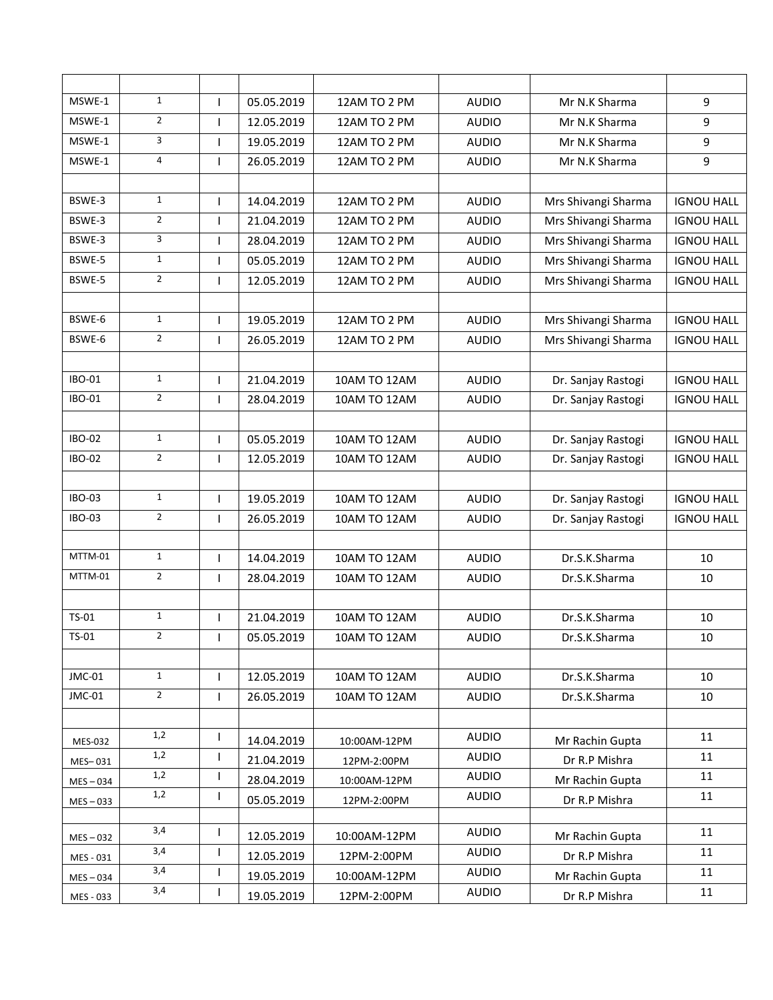| MSWE-1         | $\mathbf{1}$   | $\mathbf{I}$ | 05.05.2019 | 12AM TO 2 PM        | <b>AUDIO</b> | Mr N.K Sharma       | $\boldsymbol{9}$  |
|----------------|----------------|--------------|------------|---------------------|--------------|---------------------|-------------------|
| MSWE-1         | $\overline{2}$ | $\mathbf{I}$ | 12.05.2019 | 12AM TO 2 PM        | <b>AUDIO</b> | Mr N.K Sharma       | 9                 |
| MSWE-1         | 3              |              | 19.05.2019 | 12AM TO 2 PM        | <b>AUDIO</b> | Mr N.K Sharma       | 9                 |
| MSWE-1         | 4              | $\mathbf{I}$ | 26.05.2019 | 12AM TO 2 PM        | <b>AUDIO</b> | Mr N.K Sharma       | 9                 |
|                |                |              |            |                     |              |                     |                   |
| BSWE-3         | $\mathbf{1}$   | $\mathbf{I}$ | 14.04.2019 | 12AM TO 2 PM        | <b>AUDIO</b> | Mrs Shivangi Sharma | <b>IGNOU HALL</b> |
| BSWE-3         | $\overline{2}$ | $\mathbf{I}$ | 21.04.2019 | 12AM TO 2 PM        | <b>AUDIO</b> | Mrs Shivangi Sharma | <b>IGNOU HALL</b> |
| BSWE-3         | 3              |              | 28.04.2019 | 12AM TO 2 PM        | <b>AUDIO</b> | Mrs Shivangi Sharma | <b>IGNOU HALL</b> |
| BSWE-5         | $\mathbf{1}$   | $\mathbf{I}$ | 05.05.2019 | 12AM TO 2 PM        | <b>AUDIO</b> | Mrs Shivangi Sharma | <b>IGNOU HALL</b> |
| BSWE-5         | $\overline{2}$ | $\mathbf{I}$ | 12.05.2019 | 12AM TO 2 PM        | <b>AUDIO</b> | Mrs Shivangi Sharma | <b>IGNOU HALL</b> |
|                |                |              |            |                     |              |                     |                   |
| BSWE-6         | $\mathbf{1}$   | $\mathbf{I}$ | 19.05.2019 | 12AM TO 2 PM        | <b>AUDIO</b> | Mrs Shivangi Sharma | <b>IGNOU HALL</b> |
| BSWE-6         | $\overline{2}$ |              | 26.05.2019 | 12AM TO 2 PM        | <b>AUDIO</b> | Mrs Shivangi Sharma | <b>IGNOU HALL</b> |
|                |                |              |            |                     |              |                     |                   |
| IBO-01         | $\mathbf{1}$   | $\mathbf{I}$ | 21.04.2019 | <b>10AM TO 12AM</b> | <b>AUDIO</b> | Dr. Sanjay Rastogi  | <b>IGNOU HALL</b> |
| IBO-01         | $\overline{2}$ | $\mathbf{I}$ | 28.04.2019 | 10AM TO 12AM        | <b>AUDIO</b> | Dr. Sanjay Rastogi  | <b>IGNOU HALL</b> |
|                |                |              |            |                     |              |                     |                   |
| <b>IBO-02</b>  | $\mathbf{1}$   | $\mathbf{I}$ | 05.05.2019 | 10AM TO 12AM        | <b>AUDIO</b> | Dr. Sanjay Rastogi  | <b>IGNOU HALL</b> |
| <b>IBO-02</b>  | $\overline{2}$ | $\mathbf{I}$ | 12.05.2019 | 10AM TO 12AM        | <b>AUDIO</b> | Dr. Sanjay Rastogi  | <b>IGNOU HALL</b> |
|                |                |              |            |                     |              |                     |                   |
| <b>IBO-03</b>  | $\mathbf{1}$   | I            | 19.05.2019 | 10AM TO 12AM        | <b>AUDIO</b> | Dr. Sanjay Rastogi  | <b>IGNOU HALL</b> |
| IBO-03         | $\overline{2}$ | $\mathbf{I}$ | 26.05.2019 | 10AM TO 12AM        | <b>AUDIO</b> | Dr. Sanjay Rastogi  | <b>IGNOU HALL</b> |
|                |                |              |            |                     |              |                     |                   |
| MTTM-01        | $\mathbf{1}$   | $\mathbf{I}$ | 14.04.2019 | 10AM TO 12AM        | <b>AUDIO</b> | Dr.S.K.Sharma       | 10                |
| MTTM-01        | $\overline{2}$ | $\mathbf{I}$ | 28.04.2019 | 10AM TO 12AM        | <b>AUDIO</b> | Dr.S.K.Sharma       | 10                |
|                |                |              |            |                     |              |                     |                   |
| TS-01          | $\mathbf{1}$   | $\mathbf{I}$ | 21.04.2019 | 10AM TO 12AM        | <b>AUDIO</b> | Dr.S.K.Sharma       | 10                |
| $TS-01$        | $\overline{2}$ |              | 05.05.2019 | 10AM TO 12AM        | <b>AUDIO</b> | Dr.S.K.Sharma       | 10                |
|                |                |              |            |                     |              |                     |                   |
| JMC-01         | $\mathbf{1}$   | $\mathbf{I}$ | 12.05.2019 | 10AM TO 12AM        | <b>AUDIO</b> | Dr.S.K.Sharma       | 10                |
| JMC-01         | $\overline{2}$ | $\mathsf{I}$ | 26.05.2019 | 10AM TO 12AM        | <b>AUDIO</b> | Dr.S.K.Sharma       | 10                |
|                |                |              |            |                     |              |                     |                   |
| <b>MES-032</b> | 1,2            | $\mathsf{I}$ | 14.04.2019 | 10:00AM-12PM        | <b>AUDIO</b> | Mr Rachin Gupta     | 11                |
| MES-031        | 1,2            |              | 21.04.2019 | 12PM-2:00PM         | <b>AUDIO</b> | Dr R.P Mishra       | 11                |
| $MES - 034$    | 1,2            | $\mathsf{I}$ | 28.04.2019 | 10:00AM-12PM        | <b>AUDIO</b> | Mr Rachin Gupta     | 11                |
| $MES - 033$    | 1,2            | $\mathbf{I}$ | 05.05.2019 | 12PM-2:00PM         | <b>AUDIO</b> | Dr R.P Mishra       | 11                |
|                |                |              |            |                     |              |                     |                   |
| $MES - 032$    | 3,4            | ı            | 12.05.2019 | 10:00AM-12PM        | <b>AUDIO</b> | Mr Rachin Gupta     | 11                |
| MES - 031      | 3,4            | $\mathsf{I}$ | 12.05.2019 | 12PM-2:00PM         | <b>AUDIO</b> | Dr R.P Mishra       | 11                |
| $MES - 034$    | 3,4            | $\mathsf{I}$ | 19.05.2019 | 10:00AM-12PM        | <b>AUDIO</b> | Mr Rachin Gupta     | 11                |
| MES - 033      | 3,4            |              | 19.05.2019 | 12PM-2:00PM         | <b>AUDIO</b> | Dr R.P Mishra       | 11                |